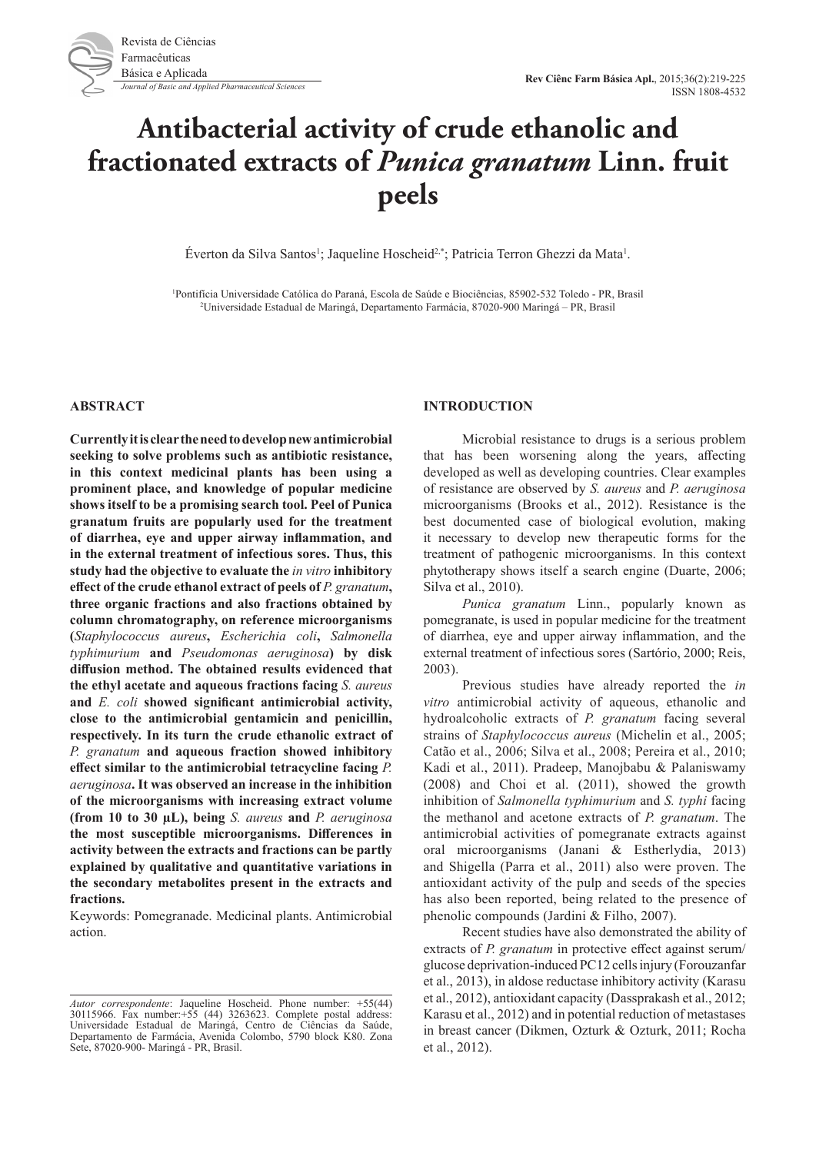

# **Antibacterial activity of crude ethanolic and fractionated extracts of** *Punica granatum* **Linn. fruit peels**

Éverton da Silva Santos<sup>1</sup>; Jaqueline Hoscheid<sup>2,\*</sup>; Patricia Terron Ghezzi da Mata<sup>1</sup>.

1 Pontifícia Universidade Católica do Paraná, Escola de Saúde e Biociências, 85902-532 Toledo - PR, Brasil 2 Universidade Estadual de Maringá, Departamento Farmácia, 87020-900 Maringá – PR, Brasil

#### **ABSTRACT**

**Currently it is clear the need to develop new antimicrobial seeking to solve problems such as antibiotic resistance, in this context medicinal plants has been using a prominent place, and knowledge of popular medicine shows itself to be a promising search tool. Peel of Punica granatum fruits are popularly used for the treatment of diarrhea, eye and upper airway inflammation, and in the external treatment of infectious sores. Thus, this study had the objective to evaluate the** *in vitro* **inhibitory effect of the crude ethanol extract of peels of** *P. granatum***, three organic fractions and also fractions obtained by column chromatography, on reference microorganisms (***Staphylococcus aureus***,** *Escherichia coli***,** *Salmonella typhimurium* **and** *Pseudomonas aeruginosa***) by disk diffusion method. The obtained results evidenced that the ethyl acetate and aqueous fractions facing** *S. aureus* **and** *E. coli* **showed significant antimicrobial activity, close to the antimicrobial gentamicin and penicillin, respectively. In its turn the crude ethanolic extract of**  *P. granatum* **and aqueous fraction showed inhibitory effect similar to the antimicrobial tetracycline facing** *P. aeruginosa***. It was observed an increase in the inhibition of the microorganisms with increasing extract volume (from 10 to 30 µL), being** *S. aureus* **and** *P. aeruginosa* **the most susceptible microorganisms. Differences in activity between the extracts and fractions can be partly explained by qualitative and quantitative variations in the secondary metabolites present in the extracts and fractions.** 

Keywords: Pomegranade. Medicinal plants. Antimicrobial action.

#### **INTRODUCTION**

Microbial resistance to drugs is a serious problem that has been worsening along the years, affecting developed as well as developing countries. Clear examples of resistance are observed by *S. aureus* and *P. aeruginosa* microorganisms (Brooks et al., 2012). Resistance is the best documented case of biological evolution, making it necessary to develop new therapeutic forms for the treatment of pathogenic microorganisms. In this context phytotherapy shows itself a search engine (Duarte, 2006; Silva et al., 2010).

*Punica granatum* Linn., popularly known as pomegranate, is used in popular medicine for the treatment of diarrhea, eye and upper airway inflammation, and the external treatment of infectious sores (Sartório, 2000; Reis, 2003).

Previous studies have already reported the *in vitro* antimicrobial activity of aqueous, ethanolic and hydroalcoholic extracts of *P. granatum* facing several strains of *Staphylococcus aureus* (Michelin et al., 2005; Catão et al., 2006; Silva et al., 2008; Pereira et al., 2010; Kadi et al., 2011). Pradeep, Manojbabu & Palaniswamy (2008) and Choi et al. (2011), showed the growth inhibition of *Salmonella typhimurium* and *S. typhi* facing the methanol and acetone extracts of *P. granatum*. The antimicrobial activities of pomegranate extracts against oral microorganisms (Janani & Estherlydia, 2013) and Shigella (Parra et al., 2011) also were proven. The antioxidant activity of the pulp and seeds of the species has also been reported, being related to the presence of phenolic compounds (Jardini & Filho, 2007).

Recent studies have also demonstrated the ability of extracts of *P. granatum* in protective effect against serum/ glucose deprivation-induced PC12 cells injury (Forouzanfar et al., 2013), in aldose reductase inhibitory activity (Karasu et al., 2012), antioxidant capacity (Dassprakash et al., 2012; Karasu et al., 2012) and in potential reduction of metastases in breast cancer (Dikmen, Ozturk & Ozturk, 2011; Rocha et al., 2012).

*Autor correspondente*: Jaqueline Hoscheid. Phone number: +55(44) 30115966. Fax number:+55 (44) 3263623. Complete postal address: Universidade Estadual de Maringá, Centro de Ciências da Saúde, Departamento de Farmácia, Avenida Colombo, 5790 block K80. Zona Sete, 87020-900- Maringá - PR, Brasil.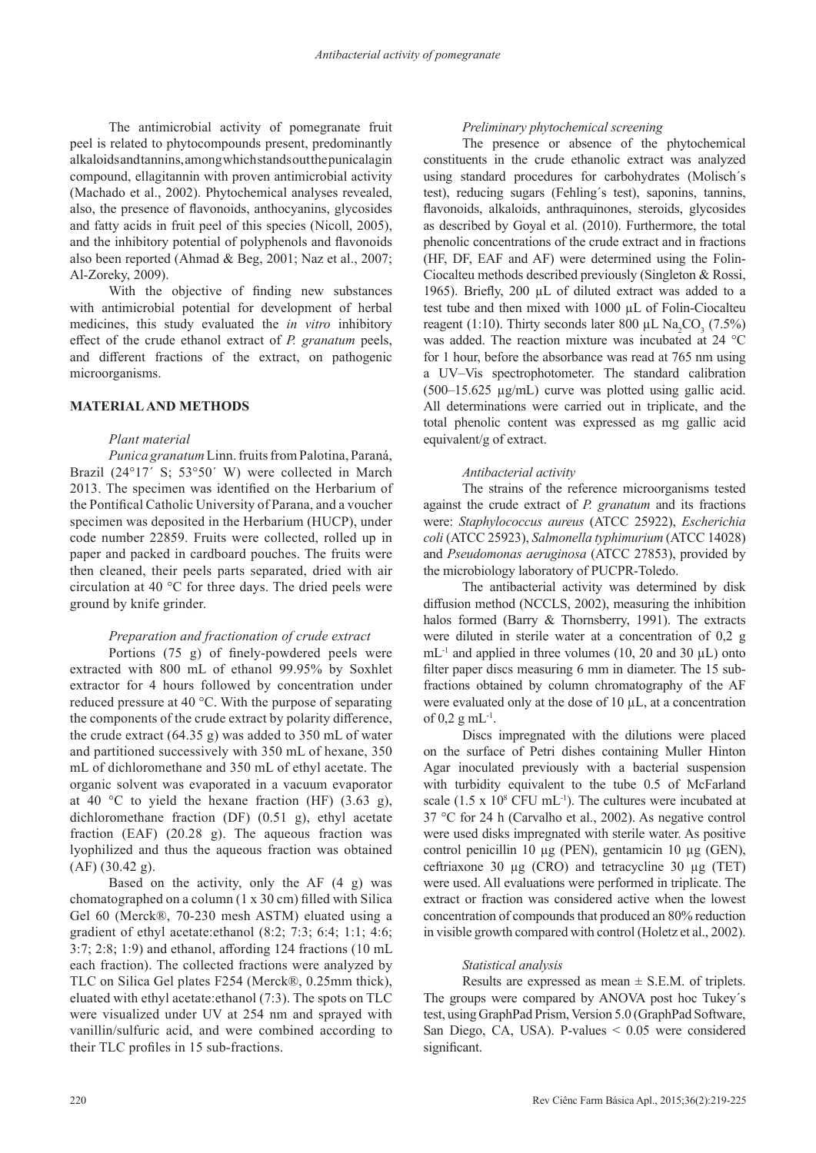The antimicrobial activity of pomegranate fruit peel is related to phytocompounds present, predominantly alkaloids and tannins, among which stands out the punicalagin compound, ellagitannin with proven antimicrobial activity (Machado et al., 2002). Phytochemical analyses revealed, also, the presence of flavonoids, anthocyanins, glycosides and fatty acids in fruit peel of this species (Nicoll, 2005), and the inhibitory potential of polyphenols and flavonoids also been reported (Ahmad & Beg, 2001; Naz et al., 2007; Al-Zoreky, 2009).

With the objective of finding new substances with antimicrobial potential for development of herbal medicines, this study evaluated the *in vitro* inhibitory effect of the crude ethanol extract of *P. granatum* peels, and different fractions of the extract, on pathogenic microorganisms.

# **MATERIAL AND METHODS**

# *Plant material*

*Punica granatum* Linn. fruits from Palotina, Paraná, Brazil (24°17' S; 53°50' W) were collected in March 2013. The specimen was identified on the Herbarium of the Pontifical Catholic University of Parana, and a voucher specimen was deposited in the Herbarium (HUCP), under code number 22859. Fruits were collected, rolled up in paper and packed in cardboard pouches. The fruits were then cleaned, their peels parts separated, dried with air circulation at 40 °C for three days. The dried peels were ground by knife grinder.

# *Preparation and fractionation of crude extract*

Portions (75 g) of finely-powdered peels were extracted with 800 mL of ethanol 99.95% by Soxhlet extractor for 4 hours followed by concentration under reduced pressure at 40 °C. With the purpose of separating the components of the crude extract by polarity difference, the crude extract (64.35 g) was added to 350 mL of water and partitioned successively with 350 mL of hexane, 350 mL of dichloromethane and 350 mL of ethyl acetate. The organic solvent was evaporated in a vacuum evaporator at 40 °C to yield the hexane fraction (HF)  $(3.63 \text{ g})$ , dichloromethane fraction (DF) (0.51 g), ethyl acetate fraction (EAF)  $(20.28 \text{ g})$ . The aqueous fraction was lyophilized and thus the aqueous fraction was obtained (AF) (30.42 g).

Based on the activity, only the AF (4 g) was chomatographed on a column (1 x 30 cm) filled with Silica Gel 60 (Merck®, 70-230 mesh ASTM) eluated using a gradient of ethyl acetate:ethanol (8:2; 7:3; 6:4; 1:1; 4:6; 3:7; 2:8; 1:9) and ethanol, affording 124 fractions (10 mL each fraction). The collected fractions were analyzed by TLC on Silica Gel plates F254 (Merck®, 0.25mm thick), eluated with ethyl acetate:ethanol (7:3). The spots on TLC were visualized under UV at 254 nm and sprayed with vanillin/sulfuric acid, and were combined according to their TLC profiles in 15 sub-fractions.

# *Preliminary phytochemical screening*

The presence or absence of the phytochemical constituents in the crude ethanolic extract was analyzed using standard procedures for carbohydrates (Molisch´s test), reducing sugars (Fehling´s test), saponins, tannins, flavonoids, alkaloids, anthraquinones, steroids, glycosides as described by Goyal et al. (2010). Furthermore, the total phenolic concentrations of the crude extract and in fractions (HF, DF, EAF and AF) were determined using the Folin-Ciocalteu methods described previously (Singleton & Rossi, 1965). Briefly, 200 µL of diluted extract was added to a test tube and then mixed with 1000 µL of Folin-Ciocalteu reagent (1:10). Thirty seconds later 800  $\mu$ L Na<sub>2</sub>CO<sub>3</sub> (7.5%) was added. The reaction mixture was incubated at 24 °C for 1 hour, before the absorbance was read at 765 nm using a UV–Vis spectrophotometer. The standard calibration (500–15.625 µg/mL) curve was plotted using gallic acid. All determinations were carried out in triplicate, and the total phenolic content was expressed as mg gallic acid equivalent/g of extract.

# *Antibacterial activity*

The strains of the reference microorganisms tested against the crude extract of *P. granatum* and its fractions were: *Staphylococcus aureus* (ATCC 25922), *Escherichia coli* (ATCC 25923), *Salmonella typhimurium* (ATCC 14028) and *Pseudomonas aeruginosa* (ATCC 27853), provided by the microbiology laboratory of PUCPR-Toledo.

The antibacterial activity was determined by disk diffusion method (NCCLS, 2002), measuring the inhibition halos formed (Barry & Thornsberry, 1991). The extracts were diluted in sterile water at a concentration of 0,2 g  $mL^{-1}$  and applied in three volumes (10, 20 and 30  $\mu$ L) onto filter paper discs measuring 6 mm in diameter. The 15 subfractions obtained by column chromatography of the AF were evaluated only at the dose of 10  $\mu$ L, at a concentration of  $0.2 \text{ g} \text{ mL}^{-1}$ .

Discs impregnated with the dilutions were placed on the surface of Petri dishes containing Muller Hinton Agar inoculated previously with a bacterial suspension with turbidity equivalent to the tube 0.5 of McFarland scale  $(1.5 \times 10^8 \text{ CFU mL}^{-1})$ . The cultures were incubated at 37 °C for 24 h (Carvalho et al., 2002). As negative control were used disks impregnated with sterile water. As positive control penicillin 10 µg (PEN), gentamicin 10 µg (GEN), ceftriaxone 30 µg (CRO) and tetracycline 30 µg (TET) were used. All evaluations were performed in triplicate. The extract or fraction was considered active when the lowest concentration of compounds that produced an 80% reduction in visible growth compared with control (Holetz et al., 2002).

## *Statistical analysis*

Results are expressed as mean  $\pm$  S.E.M. of triplets. The groups were compared by ANOVA post hoc Tukey´s test, using GraphPad Prism, Version 5.0 (GraphPad Software, San Diego, CA, USA). P-values < 0.05 were considered significant.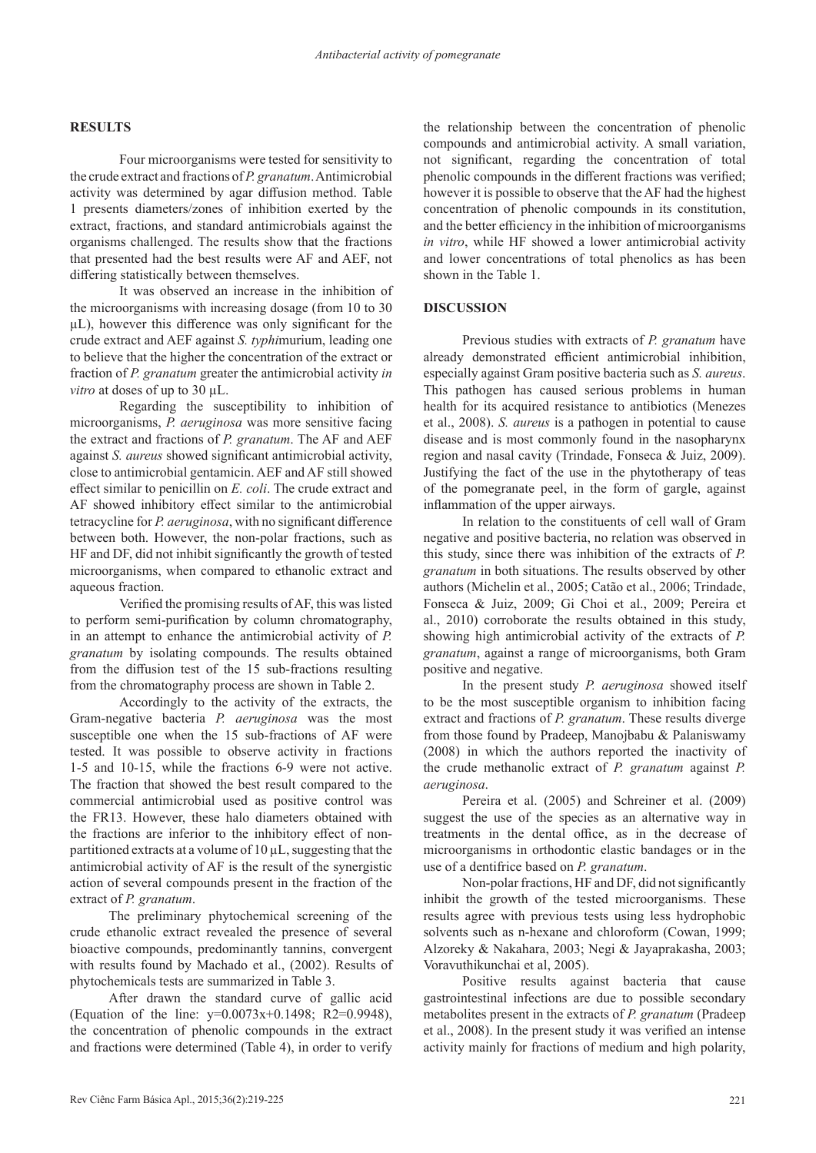# **RESULTS**

Four microorganisms were tested for sensitivity to the crude extract and fractions of *P. granatum*. Antimicrobial activity was determined by agar diffusion method. Table 1 presents diameters/zones of inhibition exerted by the extract, fractions, and standard antimicrobials against the organisms challenged. The results show that the fractions that presented had the best results were AF and AEF, not differing statistically between themselves.

It was observed an increase in the inhibition of the microorganisms with increasing dosage (from 10 to 30 µL), however this difference was only significant for the crude extract and AEF against *S. typhi*murium, leading one to believe that the higher the concentration of the extract or fraction of *P. granatum* greater the antimicrobial activity *in vitro* at doses of up to 30 µL.

Regarding the susceptibility to inhibition of microorganisms, *P. aeruginosa* was more sensitive facing the extract and fractions of *P. granatum*. The AF and AEF against *S. aureus* showed significant antimicrobial activity, close to antimicrobial gentamicin. AEF and AF still showed effect similar to penicillin on *E. coli*. The crude extract and AF showed inhibitory effect similar to the antimicrobial tetracycline for *P. aeruginosa*, with no significant difference between both. However, the non-polar fractions, such as HF and DF, did not inhibit significantly the growth of tested microorganisms, when compared to ethanolic extract and aqueous fraction.

Verified the promising results of AF, this was listed to perform semi-purification by column chromatography, in an attempt to enhance the antimicrobial activity of *P. granatum* by isolating compounds. The results obtained from the diffusion test of the 15 sub-fractions resulting from the chromatography process are shown in Table 2.

Accordingly to the activity of the extracts, the Gram-negative bacteria *P. aeruginosa* was the most susceptible one when the 15 sub-fractions of AF were tested. It was possible to observe activity in fractions 1-5 and 10-15, while the fractions 6-9 were not active. The fraction that showed the best result compared to the commercial antimicrobial used as positive control was the FR13. However, these halo diameters obtained with the fractions are inferior to the inhibitory effect of nonpartitioned extracts at a volume of 10 µL, suggesting that the antimicrobial activity of AF is the result of the synergistic action of several compounds present in the fraction of the extract of *P. granatum*.

The preliminary phytochemical screening of the crude ethanolic extract revealed the presence of several bioactive compounds, predominantly tannins, convergent with results found by Machado et al., (2002). Results of phytochemicals tests are summarized in Table 3.

After drawn the standard curve of gallic acid (Equation of the line:  $y=0.0073x+0.1498$ ; R2=0.9948), the concentration of phenolic compounds in the extract and fractions were determined (Table 4), in order to verify

the relationship between the concentration of phenolic compounds and antimicrobial activity. A small variation, not significant, regarding the concentration of total phenolic compounds in the different fractions was verified; however it is possible to observe that the AF had the highest concentration of phenolic compounds in its constitution, and the better efficiency in the inhibition of microorganisms *in vitro*, while HF showed a lower antimicrobial activity and lower concentrations of total phenolics as has been shown in the Table 1.

## **DISCUSSION**

Previous studies with extracts of *P. granatum* have already demonstrated efficient antimicrobial inhibition, especially against Gram positive bacteria such as *S. aureus*. This pathogen has caused serious problems in human health for its acquired resistance to antibiotics (Menezes et al., 2008). *S. aureus* is a pathogen in potential to cause disease and is most commonly found in the nasopharynx region and nasal cavity (Trindade, Fonseca & Juiz, 2009). Justifying the fact of the use in the phytotherapy of teas of the pomegranate peel, in the form of gargle, against inflammation of the upper airways.

In relation to the constituents of cell wall of Gram negative and positive bacteria, no relation was observed in this study, since there was inhibition of the extracts of *P. granatum* in both situations. The results observed by other authors (Michelin et al., 2005; Catão et al., 2006; Trindade, Fonseca & Juiz, 2009; Gi Choi et al., 2009; Pereira et al., 2010) corroborate the results obtained in this study, showing high antimicrobial activity of the extracts of *P. granatum*, against a range of microorganisms, both Gram positive and negative.

In the present study *P. aeruginosa* showed itself to be the most susceptible organism to inhibition facing extract and fractions of *P. granatum*. These results diverge from those found by Pradeep, Manojbabu & Palaniswamy (2008) in which the authors reported the inactivity of the crude methanolic extract of *P. granatum* against *P. aeruginosa*.

Pereira et al. (2005) and Schreiner et al. (2009) suggest the use of the species as an alternative way in treatments in the dental office, as in the decrease of microorganisms in orthodontic elastic bandages or in the use of a dentifrice based on *P. granatum*.

Non-polar fractions, HF and DF, did not significantly inhibit the growth of the tested microorganisms. These results agree with previous tests using less hydrophobic solvents such as n-hexane and chloroform (Cowan, 1999; Alzoreky & Nakahara, 2003; Negi & Jayaprakasha, 2003; Voravuthikunchai et al, 2005).

Positive results against bacteria that cause gastrointestinal infections are due to possible secondary metabolites present in the extracts of *P. granatum* (Pradeep et al., 2008). In the present study it was verified an intense activity mainly for fractions of medium and high polarity,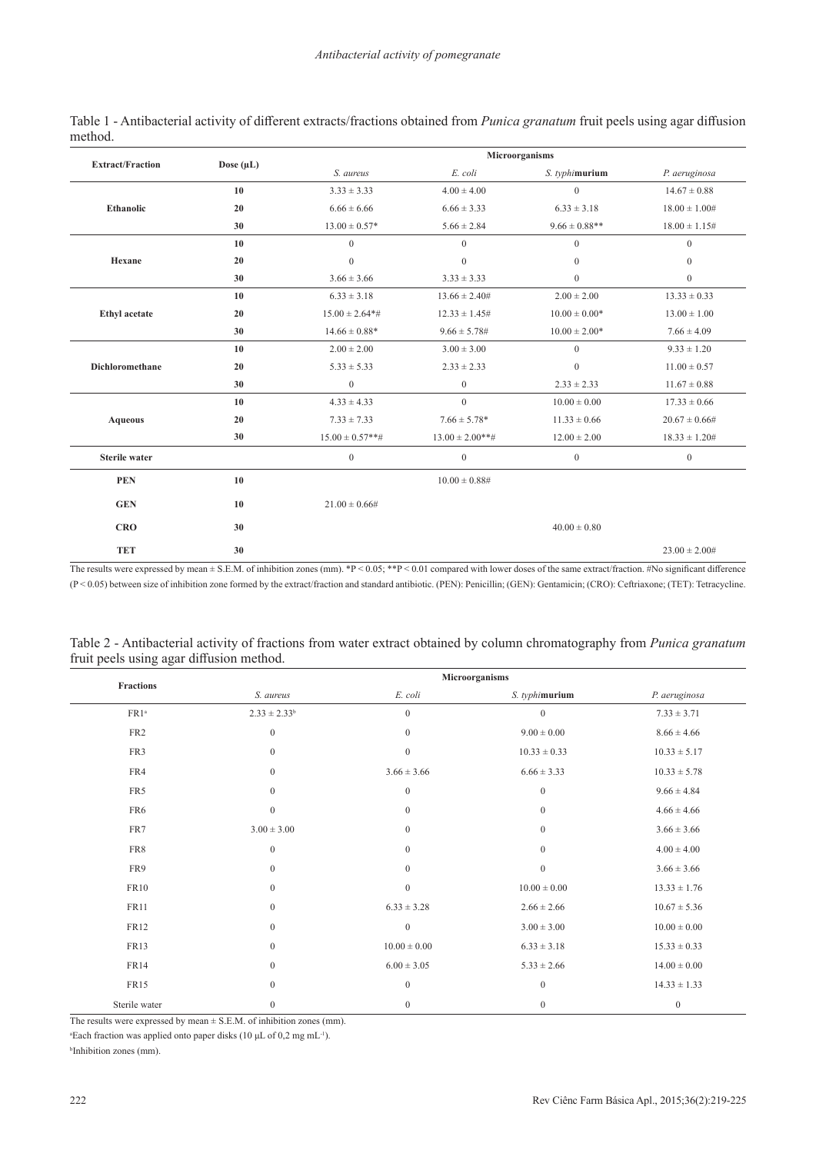| <b>Extract/Fraction</b>                                                                                                                                                                                                                                                                   |                | Microorganisms     |                      |                    |                    |
|-------------------------------------------------------------------------------------------------------------------------------------------------------------------------------------------------------------------------------------------------------------------------------------------|----------------|--------------------|----------------------|--------------------|--------------------|
|                                                                                                                                                                                                                                                                                           | Dose $(\mu L)$ | S. aureus          | E. coli              | S. typhimurium     | P. aeruginosa      |
|                                                                                                                                                                                                                                                                                           | 10             | $3.33 \pm 3.33$    | $4.00 \pm 4.00$      | $\boldsymbol{0}$   | $14.67 \pm 0.88$   |
| <b>Ethanolic</b>                                                                                                                                                                                                                                                                          | 20             | $6.66 \pm 6.66$    | $6.66 \pm 3.33$      | $6.33 \pm 3.18$    | $18.00 \pm 1.00#$  |
|                                                                                                                                                                                                                                                                                           | 30             | $13.00 \pm 0.57*$  | $5.66 \pm 2.84$      | $9.66 \pm 0.88***$ | $18.00 \pm 1.15$ # |
|                                                                                                                                                                                                                                                                                           | 10             | $\mathbf{0}$       | $\mathbf{0}$         | $\mathbf{0}$       | $\overline{0}$     |
| Hexane                                                                                                                                                                                                                                                                                    | 20             | $\mathbf{0}$       | $\mathbf{0}$         | $\mathbf{0}$       | $\mathbf{0}$       |
|                                                                                                                                                                                                                                                                                           | 30             | $3.66 \pm 3.66$    | $3.33 \pm 3.33$      | $\boldsymbol{0}$   | $\overline{0}$     |
|                                                                                                                                                                                                                                                                                           | 10             | $6.33 \pm 3.18$    | $13.66 \pm 2.40#$    | $2.00 \pm 2.00$    | $13.33 \pm 0.33$   |
| <b>Ethyl</b> acetate                                                                                                                                                                                                                                                                      | 20             | $15.00 \pm 2.64**$ | $12.33 \pm 1.45$ #   | $10.00 \pm 0.00*$  | $13.00 \pm 1.00$   |
|                                                                                                                                                                                                                                                                                           | 30             | $14.66 \pm 0.88*$  | $9.66 \pm 5.78 \#$   | $10.00 \pm 2.00*$  | $7.66 \pm 4.09$    |
|                                                                                                                                                                                                                                                                                           | 10             | $2.00 \pm 2.00$    | $3.00 \pm 3.00$      | $\mathbf{0}$       | $9.33 \pm 1.20$    |
| Dichloromethane<br>20<br>$5.33 \pm 5.33$<br>$\mathbf{0}$<br>30<br>$4.33 \pm 4.33$<br>10<br>20<br>$7.33 \pm 7.33$<br><b>Aqueous</b><br>$15.00 \pm 0.57$ **#<br>30<br><b>Sterile water</b><br>$\mathbf{0}$<br><b>PEN</b><br>10<br><b>GEN</b><br>10<br>$21.00 \pm 0.66#$<br><b>CRO</b><br>30 |                |                    | $2.33 \pm 2.33$      | $\boldsymbol{0}$   | $11.00 \pm 0.57$   |
|                                                                                                                                                                                                                                                                                           | $\mathbf{0}$   | $2.33 \pm 2.33$    | $11.67 \pm 0.88$     |                    |                    |
|                                                                                                                                                                                                                                                                                           |                |                    | $\mathbf{0}$         | $10.00 \pm 0.00$   | $17.33 \pm 0.66$   |
|                                                                                                                                                                                                                                                                                           |                |                    | $7.66 \pm 5.78*$     | $11.33 \pm 0.66$   | $20.67 \pm 0.66#$  |
|                                                                                                                                                                                                                                                                                           |                |                    | $13.00 \pm 2.00$ **# | $12.00 \pm 2.00$   | $18.33 \pm 1.20#$  |
|                                                                                                                                                                                                                                                                                           |                |                    | $\mathbf{0}$         | $\mathbf{0}$       | $\overline{0}$     |
|                                                                                                                                                                                                                                                                                           |                |                    | $10.00 \pm 0.88$ #   |                    |                    |
|                                                                                                                                                                                                                                                                                           |                |                    |                      |                    |                    |
|                                                                                                                                                                                                                                                                                           |                |                    |                      | $40.00 \pm 0.80$   |                    |
| <b>TET</b>                                                                                                                                                                                                                                                                                | 30             |                    |                      |                    | $23.00 \pm 2.00$ # |

Table 1 - Antibacterial activity of different extracts/fractions obtained from *Punica granatum* fruit peels using agar diffusion method.

The results were expressed by mean  $\pm$  S.E.M. of inhibition zones (mm). \*P < 0.05; \*\*P < 0.01 compared with lower doses of the same extract/fraction. #No significant difference (P < 0.05) between size of inhibition zone formed by the extract/fraction and standard antibiotic. (PEN): Penicillin; (GEN): Gentamicin; (CRO): Ceftriaxone; (TET): Tetracycline.

| Table 2 - Antibacterial activity of fractions from water extract obtained by column chromatography from Punica granatum |  |  |  |
|-------------------------------------------------------------------------------------------------------------------------|--|--|--|
| fruit peels using agar diffusion method.                                                                                |  |  |  |

| Fractions        | Microorganisms    |                  |                  |                  |  |
|------------------|-------------------|------------------|------------------|------------------|--|
|                  | S. aureus         | E. coli          | S. typhimurium   | P. aeruginosa    |  |
| FR1 <sup>a</sup> | $2.33 \pm 2.33^b$ | $\boldsymbol{0}$ | $\boldsymbol{0}$ | $7.33 \pm 3.71$  |  |
| FR <sub>2</sub>  | $\boldsymbol{0}$  | $\boldsymbol{0}$ | $9.00 \pm 0.00$  | $8.66 \pm 4.66$  |  |
| FR3              | $\boldsymbol{0}$  | $\boldsymbol{0}$ | $10.33 \pm 0.33$ | $10.33 \pm 5.17$ |  |
| FR4              | $\boldsymbol{0}$  | $3.66 \pm 3.66$  | $6.66 \pm 3.33$  | $10.33 \pm 5.78$ |  |
| FR5              | $\boldsymbol{0}$  | $\boldsymbol{0}$ | $\boldsymbol{0}$ | $9.66 \pm 4.84$  |  |
| FR6              | $\boldsymbol{0}$  | $\mathbf{0}$     | $\mathbf{0}$     | $4.66 \pm 4.66$  |  |
| FR7              | $3.00 \pm 3.00$   | $\boldsymbol{0}$ | $\mathbf{0}$     | $3.66 \pm 3.66$  |  |
| FR8              | $\boldsymbol{0}$  | $\mathbf{0}$     | $\boldsymbol{0}$ | $4.00 \pm 4.00$  |  |
| FR9              | $\boldsymbol{0}$  | $\boldsymbol{0}$ | $\boldsymbol{0}$ | $3.66 \pm 3.66$  |  |
| <b>FR10</b>      | $\boldsymbol{0}$  | $\boldsymbol{0}$ | $10.00 \pm 0.00$ | $13.33 \pm 1.76$ |  |
| <b>FR11</b>      | $\mathbf{0}$      | $6.33 \pm 3.28$  | $2.66 \pm 2.66$  | $10.67 \pm 5.36$ |  |
| <b>FR12</b>      | $\boldsymbol{0}$  | $\boldsymbol{0}$ | $3.00 \pm 3.00$  | $10.00 \pm 0.00$ |  |
| FR13             | $\boldsymbol{0}$  | $10.00 \pm 0.00$ | $6.33 \pm 3.18$  | $15.33 \pm 0.33$ |  |
| <b>FR14</b>      | $\boldsymbol{0}$  | $6.00 \pm 3.05$  | $5.33 \pm 2.66$  | $14.00 \pm 0.00$ |  |
| FR15             | $\boldsymbol{0}$  | $\boldsymbol{0}$ | $\boldsymbol{0}$ | $14.33 \pm 1.33$ |  |
| Sterile water    | $\mathbf{0}$      | $\boldsymbol{0}$ | $\mathbf{0}$     | $\boldsymbol{0}$ |  |

The results were expressed by mean  $\pm$  S.E.M. of inhibition zones (mm).

<sup>a</sup>Each fraction was applied onto paper disks (10 μL of 0,2 mg mL<sup>-1</sup>).

b Inhibition zones (mm).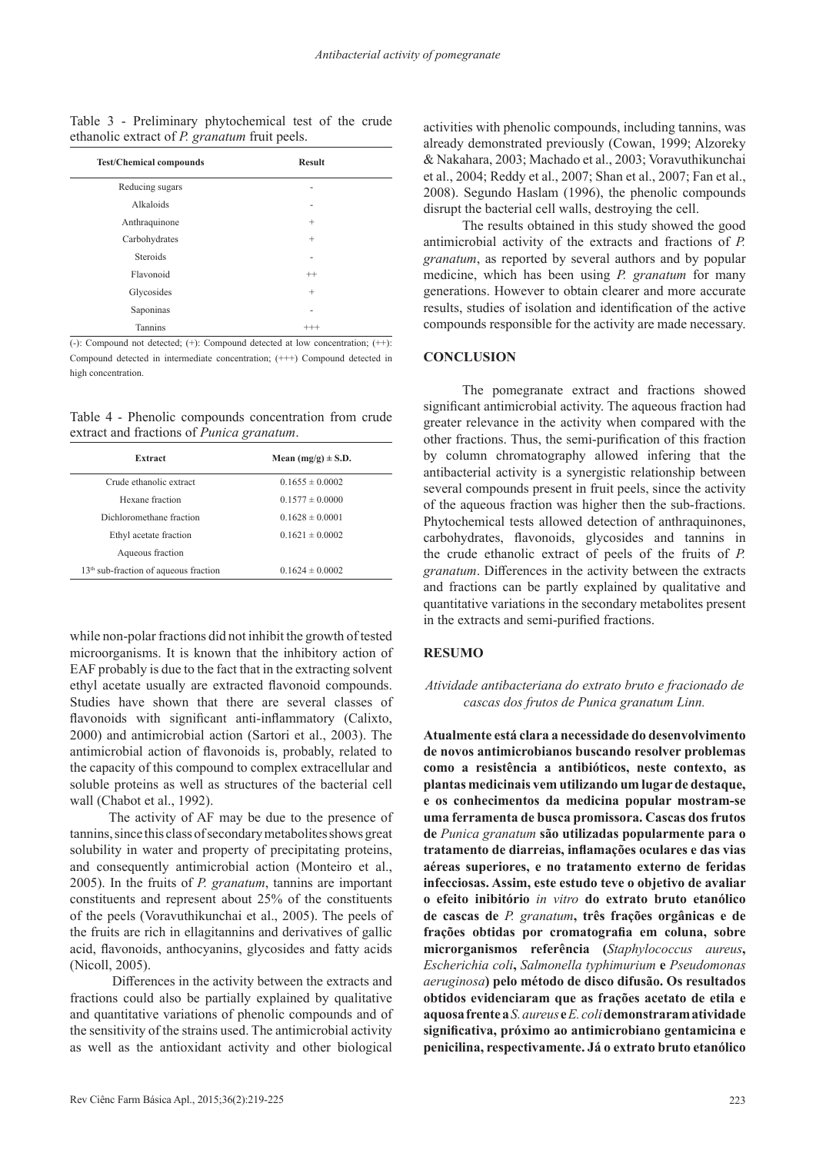Table 3 - Preliminary phytochemical test of the crude ethanolic extract of *P. granatum* fruit peels.

| <b>Test/Chemical compounds</b> | <b>Result</b> |  |
|--------------------------------|---------------|--|
| Reducing sugars                |               |  |
| Alkaloids                      |               |  |
| Anthraquinone                  | $^{+}$        |  |
| Carbohydrates                  | $^{+}$        |  |
| Steroids                       | ٠             |  |
| Flavonoid                      | $^{++}$       |  |
| Glycosides                     | $^{+}$        |  |
| Saponinas                      | ۰             |  |
| Tannins                        |               |  |

 $\overline{(-)}$ : Compound not detected;  $(+)$ : Compound detected at low concentration;  $(+)$ : Compound detected in intermediate concentration; (+++) Compound detected in high concentration.

Table 4 - Phenolic compounds concentration from crude extract and fractions of *Punica granatum*.

| Extract                                           | Mean $(mg/g) \pm S.D.$ |
|---------------------------------------------------|------------------------|
| Crude ethanolic extract                           | $0.1655 \pm 0.0002$    |
| Hexane fraction                                   | $0.1577 \pm 0.0000$    |
| Dichloromethane fraction                          | $0.1628 \pm 0.0001$    |
| Ethyl acetate fraction                            | $0.1621 \pm 0.0002$    |
| Aqueous fraction                                  |                        |
| 13 <sup>th</sup> sub-fraction of aqueous fraction | $0.1624 \pm 0.0002$    |

while non-polar fractions did not inhibit the growth of tested microorganisms. It is known that the inhibitory action of EAF probably is due to the fact that in the extracting solvent ethyl acetate usually are extracted flavonoid compounds. Studies have shown that there are several classes of flavonoids with significant anti-inflammatory (Calixto, 2000) and antimicrobial action (Sartori et al., 2003). The antimicrobial action of flavonoids is, probably, related to the capacity of this compound to complex extracellular and soluble proteins as well as structures of the bacterial cell wall (Chabot et al., 1992).

The activity of AF may be due to the presence of tannins, since this class of secondary metabolites shows great solubility in water and property of precipitating proteins, and consequently antimicrobial action (Monteiro et al., 2005). In the fruits of *P. granatum*, tannins are important constituents and represent about 25% of the constituents of the peels (Voravuthikunchai et al., 2005). The peels of the fruits are rich in ellagitannins and derivatives of gallic acid, flavonoids, anthocyanins, glycosides and fatty acids (Nicoll, 2005).

 Differences in the activity between the extracts and fractions could also be partially explained by qualitative and quantitative variations of phenolic compounds and of the sensitivity of the strains used. The antimicrobial activity as well as the antioxidant activity and other biological

activities with phenolic compounds, including tannins, was already demonstrated previously (Cowan, 1999; Alzoreky & Nakahara, 2003; Machado et al., 2003; Voravuthikunchai et al., 2004; Reddy et al., 2007; Shan et al., 2007; Fan et al., 2008). Segundo Haslam (1996), the phenolic compounds disrupt the bacterial cell walls, destroying the cell.

The results obtained in this study showed the good antimicrobial activity of the extracts and fractions of *P. granatum*, as reported by several authors and by popular medicine, which has been using *P. granatum* for many generations. However to obtain clearer and more accurate results, studies of isolation and identification of the active compounds responsible for the activity are made necessary.

#### **CONCLUSION**

The pomegranate extract and fractions showed significant antimicrobial activity. The aqueous fraction had greater relevance in the activity when compared with the other fractions. Thus, the semi-purification of this fraction by column chromatography allowed infering that the antibacterial activity is a synergistic relationship between several compounds present in fruit peels, since the activity of the aqueous fraction was higher then the sub-fractions. Phytochemical tests allowed detection of anthraquinones, carbohydrates, flavonoids, glycosides and tannins in the crude ethanolic extract of peels of the fruits of *P. granatum*. Differences in the activity between the extracts and fractions can be partly explained by qualitative and quantitative variations in the secondary metabolites present in the extracts and semi-purified fractions.

# **RESUMO**

# *Atividade antibacteriana do extrato bruto e fracionado de cascas dos frutos de Punica granatum Linn.*

**Atualmente está clara a necessidade do desenvolvimento de novos antimicrobianos buscando resolver problemas como a resistência a antibióticos, neste contexto, as plantas medicinais vem utilizando um lugar de destaque, e os conhecimentos da medicina popular mostram-se uma ferramenta de busca promissora. Cascas dos frutos de** *Punica granatum* **são utilizadas popularmente para o tratamento de diarreias, inflamações oculares e das vias aéreas superiores, e no tratamento externo de feridas infecciosas. Assim, este estudo teve o objetivo de avaliar o efeito inibitório** *in vitro* **do extrato bruto etanólico de cascas de** *P. granatum***, três frações orgânicas e de frações obtidas por cromatografia em coluna, sobre microrganismos referência (***Staphylococcus aureus***,**  *Escherichia coli***,** *Salmonella typhimurium* **e** *Pseudomonas aeruginosa***) pelo método de disco difusão. Os resultados obtidos evidenciaram que as frações acetato de etila e aquosa frente a** *S. aureus* **e** *E. coli* **demonstraram atividade significativa, próximo ao antimicrobiano gentamicina e penicilina, respectivamente. Já o extrato bruto etanólico**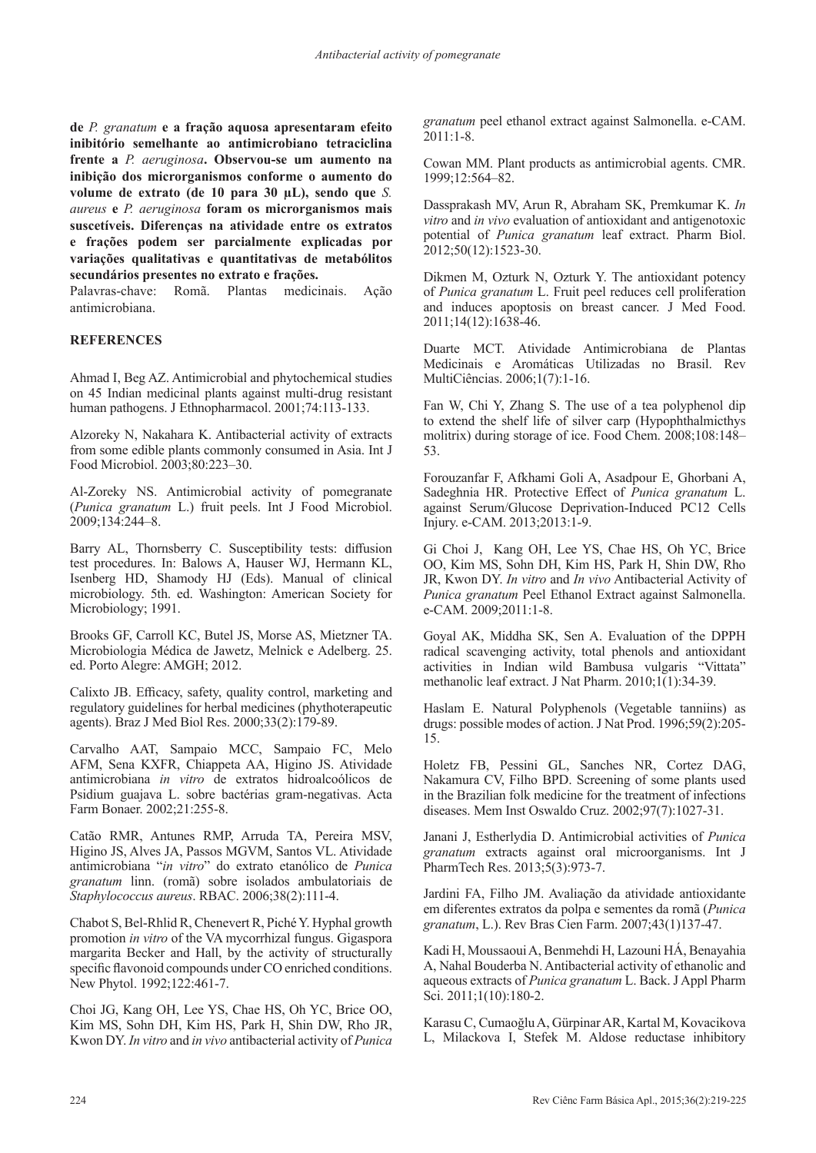**de** *P. granatum* **e a fração aquosa apresentaram efeito inibitório semelhante ao antimicrobiano tetraciclina frente a** *P. aeruginosa***. Observou-se um aumento na inibição dos microrganismos conforme o aumento do volume de extrato (de 10 para 30 µL), sendo que** *S. aureus* **e** *P. aeruginosa* **foram os microrganismos mais suscetíveis. Diferenças na atividade entre os extratos e frações podem ser parcialmente explicadas por variações qualitativas e quantitativas de metabólitos secundários presentes no extrato e frações.**

Palavras-chave: Romã. Plantas medicinais. Ação antimicrobiana.

# **REFERENCES**

Ahmad I, Beg AZ. Antimicrobial and phytochemical studies on 45 Indian medicinal plants against multi-drug resistant human pathogens. J Ethnopharmacol. 2001;74:113-133.

Alzoreky N, Nakahara K. Antibacterial activity of extracts from some edible plants commonly consumed in Asia. Int J Food Microbiol. 2003;80:223–30.

Al-Zoreky NS. Antimicrobial activity of pomegranate (*Punica granatum* L.) fruit peels. Int J Food Microbiol. 2009;134:244–8.

Barry AL, Thornsberry C. Susceptibility tests: diffusion test procedures. In: Balows A, Hauser WJ, Hermann KL, Isenberg HD, Shamody HJ (Eds). Manual of clinical microbiology. 5th. ed. Washington: American Society for Microbiology; 1991.

Brooks GF, Carroll KC, Butel JS, Morse AS, Mietzner TA. Microbiologia Médica de Jawetz, Melnick e Adelberg. 25. ed. Porto Alegre: AMGH; 2012.

Calixto JB. Efficacy, safety, quality control, marketing and regulatory guidelines for herbal medicines (phythoterapeutic agents). Braz J Med Biol Res. 2000;33(2):179-89.

Carvalho AAT, Sampaio MCC, Sampaio FC, Melo AFM, Sena KXFR, Chiappeta AA, Higino JS. Atividade antimicrobiana *in vitro* de extratos hidroalcoólicos de Psidium guajava L. sobre bactérias gram-negativas. Acta Farm Bonaer. 2002;21:255-8.

Catão RMR, Antunes RMP, Arruda TA, Pereira MSV, Higino JS, Alves JA, Passos MGVM, Santos VL. Atividade antimicrobiana "*in vitro*" do extrato etanólico de *Punica granatum* linn. (romã) sobre isolados ambulatoriais de *Staphylococcus aureus*. RBAC. 2006;38(2):111-4.

Chabot S, Bel-Rhlid R, Chenevert R, Piché Y. Hyphal growth promotion *in vitro* of the VA mycorrhizal fungus. Gigaspora margarita Becker and Hall, by the activity of structurally specific flavonoid compounds under CO enriched conditions. New Phytol. 1992;122:461-7.

Choi JG, Kang OH, Lee YS, Chae HS, Oh YC, Brice OO, Kim MS, Sohn DH, Kim HS, Park H, Shin DW, Rho JR, Kwon DY. *In vitro* and *in vivo* antibacterial activity of *Punica* 

*granatum* peel ethanol extract against Salmonella. e-CAM. 2011:1-8.

Cowan MM. Plant products as antimicrobial agents. CMR. 1999;12:564–82.

Dassprakash MV, Arun R, Abraham SK, Premkumar K. *In vitro* and *in vivo* evaluation of antioxidant and antigenotoxic potential of *Punica granatum* leaf extract. Pharm Biol. 2012;50(12):1523-30.

Dikmen M, Ozturk N, Ozturk Y. The antioxidant potency of *Punica granatum* L. Fruit peel reduces cell proliferation and induces apoptosis on breast cancer. J Med Food. 2011;14(12):1638-46.

Duarte MCT. Atividade Antimicrobiana de Plantas Medicinais e Aromáticas Utilizadas no Brasil. Rev MultiCiências. 2006;1(7):1-16.

Fan W, Chi Y, Zhang S. The use of a tea polyphenol dip to extend the shelf life of silver carp (Hypophthalmicthys molitrix) during storage of ice. Food Chem. 2008;108:148– 53.

Forouzanfar F, Afkhami Goli A, Asadpour E, Ghorbani A, Sadeghnia HR. Protective Effect of *Punica granatum* L. against Serum/Glucose Deprivation-Induced PC12 Cells Injury. e-CAM. 2013;2013:1-9.

Gi Choi J, Kang OH, Lee YS, Chae HS, Oh YC, Brice OO, Kim MS, Sohn DH, Kim HS, Park H, Shin DW, Rho JR, Kwon DY. *In vitro* and *In vivo* Antibacterial Activity of *Punica granatum* Peel Ethanol Extract against Salmonella. e-CAM. 2009;2011:1-8.

Goyal AK, Middha SK, Sen A. Evaluation of the DPPH radical scavenging activity, total phenols and antioxidant activities in Indian wild Bambusa vulgaris "Vittata" methanolic leaf extract. J Nat Pharm. 2010;1(1):34-39.

Haslam E. Natural Polyphenols (Vegetable tanniins) as drugs: possible modes of action. J Nat Prod. 1996;59(2):205- 15.

Holetz FB, Pessini GL, Sanches NR, Cortez DAG, Nakamura CV, Filho BPD. Screening of some plants used in the Brazilian folk medicine for the treatment of infections diseases. Mem Inst Oswaldo Cruz. 2002;97(7):1027-31.

Janani J, Estherlydia D. Antimicrobial activities of *Punica granatum* extracts against oral microorganisms. Int J PharmTech Res. 2013;5(3):973-7.

Jardini FA, Filho JM. Avaliação da atividade antioxidante em diferentes extratos da polpa e sementes da romã (*Punica granatum*, L.). Rev Bras Cien Farm. 2007;43(1)137-47.

Kadi H, Moussaoui A, Benmehdi H, Lazouni HÁ, Benayahia A, Nahal Bouderba N. Antibacterial activity of ethanolic and aqueous extracts of *Punica granatum* L. Back. J Appl Pharm Sci. 2011;1(10):180-2.

Karasu C, Cumaoğlu A, Gürpinar AR, Kartal M, Kovacikova L, Milackova I, Stefek M. Aldose reductase inhibitory